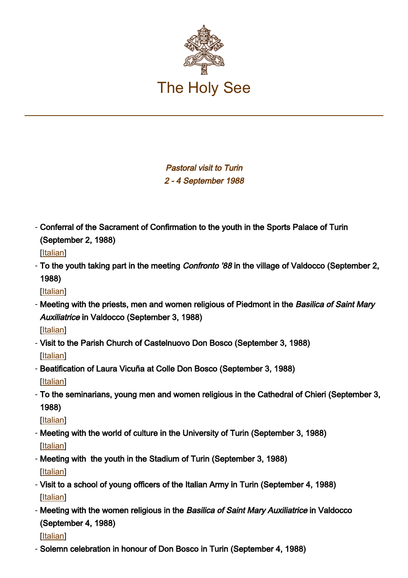

Pastoral visit to Turin 2 - 4 September 1988

- Conferral of the Sacrament of Confirmation to the youth in the Sports Palace of Turin (September 2, 1988)

[[Italian\]](https://www.vatican.va/content/john-paul-ii/it/homilies/1988/documents/hf_jp-ii_hom_19880902_palazzo-sport.html)

- To the youth taking part in the meeting *Confronto '88* in the village of Valdocco (September 2, 1988)

[[Italian\]](https://www.vatican.va/content/john-paul-ii/it/speeches/1988/september/documents/hf_jp-ii_spe_19880902_valdocco.html)

- Meeting with the priests, men and women religious of Piedmont in the *Basilica of Saint Mary* Auxiliatrice in Valdocco (September 3, 1988)

[[Italian\]](https://www.vatican.va/content/john-paul-ii/it/speeches/1988/september/documents/hf_jp-ii_spe_19880903_sacerdoti-valdocco.html)

- Visit to the Parish Church of Castelnuovo Don Bosco (September 3, 1988) [[Italian\]](https://www.vatican.va/content/john-paul-ii/it/speeches/1988/september/documents/hf_jp-ii_spe_19880903_castelnuovo.html)
- Beatification of Laura Vicuña at Colle Don Bosco (September 3, 1988)

[[Italian\]](https://www.vatican.va/content/john-paul-ii/it/homilies/1988/documents/hf_jp-ii_hom_19880903_colle-don-bosco.html)

To the seminarians, young men and women religious in the Cathedral of Chieri (September 3, - 1988)

[[Italian\]](https://www.vatican.va/content/john-paul-ii/it/speeches/1988/september/documents/hf_jp-ii_spe_19880903_seminaristi-chieri.html)

- Meeting with the world of culture in the University of Turin (September 3, 1988) [[Italian\]](https://www.vatican.va/content/john-paul-ii/it/speeches/1988/september/documents/hf_jp-ii_spe_19880903_ateneo-torino.html)
- Meeting with the youth in the Stadium of Turin (September 3, 1988) [[Italian\]](https://www.vatican.va/content/john-paul-ii/it/speeches/1988/september/documents/hf_jp-ii_spe_19880903_giovani-torino.html)
- Visit to a school of young officers of the Italian Army in Turin (September 4, 1988) [[Italian\]](https://www.vatican.va/content/john-paul-ii/it/speeches/1988/september/documents/hf_jp-ii_spe_19880904_scuola-applicazione.html)
- Meeting with the women religious in the *Basilica of Saint Mary Auxiliatrice* in Valdocco (September 4, 1988)

[[Italian\]](https://www.vatican.va/content/john-paul-ii/it/speeches/1988/september/documents/hf_jp-ii_spe_19880904_religiose-valdocco.html)

- Solemn celebration in honour of Don Bosco in Turin (September 4, 1988)